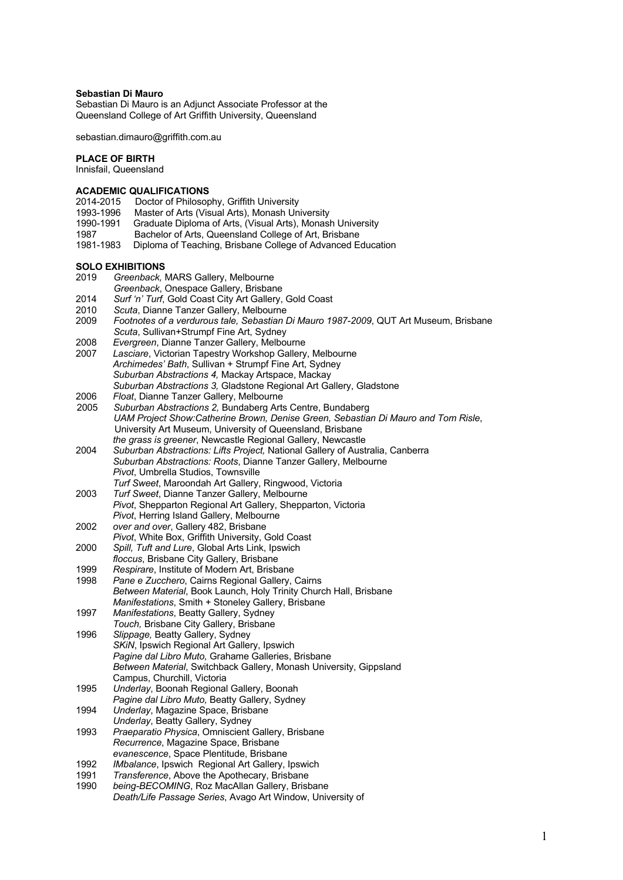### **Sebastian Di Mauro**

Sebastian Di Mauro is an Adjunct Associate Professor at the Queensland College of Art Griffith University, Queensland

sebastian.dimauro@griffith.com.au

### **PLACE OF BIRTH**

Innisfail, Queensland

## **ACADEMIC QUALIFICATIONS**

- 2014-2015 Doctor of Philosophy, Griffith University
- 1993-1996 Master of Arts (Visual Arts), Monash University<br>1990-1991 Graduate Diploma of Arts, (Visual Arts), Monasl
- Graduate Diploma of Arts, (Visual Arts), Monash University
- 1987 Bachelor of Arts, Queensland College of Art, Brisbane
- 1981-1983 Diploma of Teaching, Brisbane College of Advanced Education

#### **SOLO EXHIBITIONS**

- 2019 *Greenback,* MARS Gallery, Melbourne
- *Greenback*, Onespace Gallery, Brisbane
- 2014 *Surf 'n' Turf*, Gold Coast City Art Gallery, Gold Coast
- 2010 *Scuta*, Dianne Tanzer Gallery, Melbourne
- 2009 *Footnotes of a verdurous tale, Sebastian Di Mauro 1987-2009*, QUT Art Museum, Brisbane *Scuta*, Sullivan+Strumpf Fine Art, Sydney
- 2008 *Evergreen*, Dianne Tanzer Gallery, Melbourne
- Lasciare, Victorian Tapestry Workshop Gallery, Melbourne *Archimedes' Bath*, Sullivan + Strumpf Fine Art, Sydney *Suburban Abstractions 4,* Mackay Artspace, Mackay
- *Suburban Abstractions 3,* Gladstone Regional Art Gallery, Gladstone
- 2006 *Float*, Dianne Tanzer Gallery, Melbourne
- 2005 *Suburban Abstractions 2,* Bundaberg Arts Centre, Bundaberg *UAM Project Show:Catherine Brown, Denise Green, Sebastian Di Mauro and Tom Risle*, University Art Museum, University of Queensland, Brisbane *the grass is greener*, Newcastle Regional Gallery, Newcastle
- 2004 *Suburban Abstractions: Lifts Project,* National Gallery of Australia, Canberra *Suburban Abstractions: Roots*, Dianne Tanzer Gallery, Melbourne *Pivot*, Umbrella Studios, Townsville
- *Turf Sweet*, Maroondah Art Gallery, Ringwood, Victoria 2003 *Turf Sweet*, Dianne Tanzer Gallery, Melbourne *Pivot*, Shepparton Regional Art Gallery, Shepparton, Victoria
- *Pivot*, Herring Island Gallery, Melbourne
- 2002 *over and over*, Gallery 482, Brisbane *Pivot*, White Box, Griffith University, Gold Coast
- 2000 *Spill, Tuft and Lure*, Global Arts Link, Ipswich
- *floccus*, Brisbane City Gallery, Brisbane
- 1999 *Respirare*, Institute of Modern Art, Brisbane
- 1998 *Pane e Zucchero*, Cairns Regional Gallery, Cairns *Between Material*, Book Launch, Holy Trinity Church Hall, Brisbane *Manifestations*, Smith + Stoneley Gallery, Brisbane
- 1997 *Manifestations*, Beatty Gallery, Sydney
- *Touch,* Brisbane City Gallery, Brisbane 1996 *Slippage,* Beatty Gallery, Sydney *SKiN*, Ipswich Regional Art Gallery, Ipswich *Pagine dal Libro Muto,* Grahame Galleries, Brisbane *Between Material*, Switchback Gallery, Monash University, Gippsland Campus, Churchill, Victoria
- 1995 *Underlay*, Boonah Regional Gallery, Boonah *Pagine dal Libro Muto,* Beatty Gallery, Sydney
- 1994 *Underlay*, Magazine Space, Brisbane
- *Underlay*, Beatty Gallery, Sydney 1993 *Praeparatio Physica*, Omniscient Gallery, Brisbane
- *Recurrence*, Magazine Space, Brisbane *evanescence*, Space Plentitude, Brisbane
- 1992 *IMbalance*, Ipswich Regional Art Gallery, Ipswich
- 1991 *Transference*, Above the Apothecary, Brisbane
- being-BECOMING, Roz MacAllan Gallery, Brisbane *Death/Life Passage Series*, Avago Art Window, University of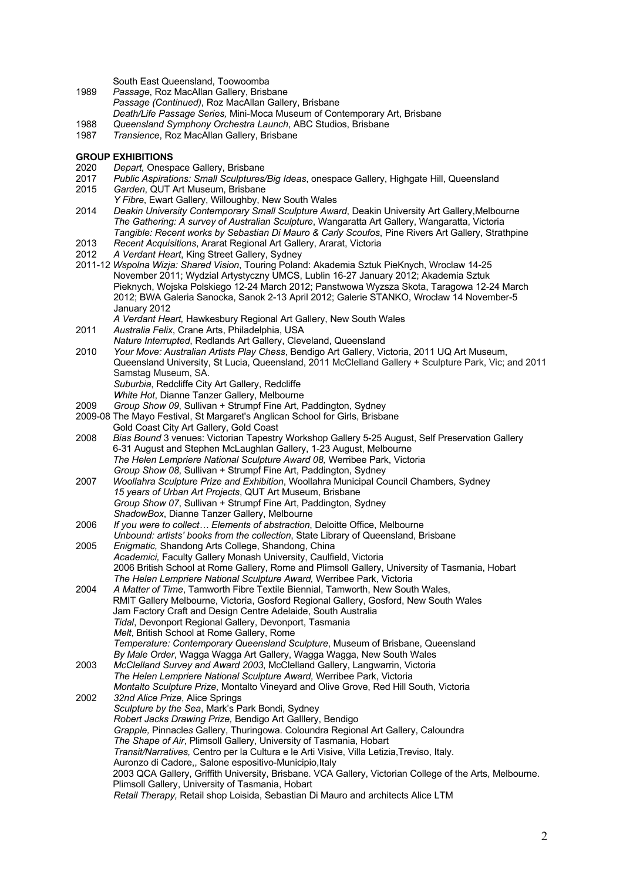South East Queensland, Toowoomba

- 1989 *Passage*, Roz MacAllan Gallery, Brisbane *Passage (Continued)*, Roz MacAllan Gallery, Brisbane *Death/Life Passage Series,* Mini-Moca Museum of Contemporary Art, Brisbane
- 1988 *Queensland Symphony Orchestra Launch*, ABC Studios, Brisbane
- 1987 *Transience*, Roz MacAllan Gallery, Brisbane

## **GROUP EXHIBITIONS**

- 2020 *Depart,* Onespace Gallery, Brisbane
- 2017 *Public Aspirations: Small Sculptures/Big Ideas*, onespace Gallery, Highgate Hill, Queensland
- Garden, QUT Art Museum, Brisbane
- *Y Fibre*, Ewart Gallery, Willoughby, New South Wales
- 2014 *Deakin University Contemporary Small Sculpture Award*, Deakin University Art Gallery,Melbourne *The Gathering: A survey of Australian Sculpture*, Wangaratta Art Gallery, Wangaratta, Victoria *Tangible: Recent works by Sebastian Di Mauro & Carly Scoufos*, Pine Rivers Art Gallery, Strathpine
- 2013 *Recent Acquisitions*, Ararat Regional Art Gallery, Ararat, Victoria
- 2012 *A Verdant Heart*, King Street Gallery, Sydney
- 2011-12 *Wspolna Wizja: Shared Vision*, Touring Poland: Akademia Sztuk PieKnych, Wroclaw 14-25 November 2011; Wydzial Artystyczny UMCS, Lublin 16-27 January 2012; Akademia Sztuk Pieknych, Wojska Polskiego 12-24 March 2012; Panstwowa Wyzsza Skota, Taragowa 12-24 March 2012; BWA Galeria Sanocka, Sanok 2-13 April 2012; Galerie STANKO, Wroclaw 14 November-5 January 2012
	- *A Verdant Heart,* Hawkesbury Regional Art Gallery, New South Wales
- 2011 *Australia Felix*, Crane Arts, Philadelphia, USA
- *Nature Interrupted*, Redlands Art Gallery, Cleveland, Queensland
- 2010 *Your Move: Australian Artists Play Chess*, Bendigo Art Gallery, Victoria, 2011 UQ Art Museum, Queensland University, St Lucia, Queensland, 2011 McClelland Gallery + Sculpture Park, Vic; and 2011 Samstag Museum, SA. *Suburbia*, Redcliffe City Art Gallery, Redcliffe *White Hot*, Dianne Tanzer Gallery, Melbourne
- 2009 *Group Show 09*, Sullivan + Strumpf Fine Art, Paddington, Sydney
- 2009-08 The Mayo Festival, St Margaret's Anglican School for Girls, Brisbane
- Gold Coast City Art Gallery, Gold Coast 2008 *Bias Bound* 3 venues: Victorian Tapestry Workshop Gallery 5-25 August, Self Preservation Gallery 6-31 August and Stephen McLaughlan Gallery, 1-23 August, Melbourne *The Helen Lempriere National Sculpture Award 08,* Werribee Park, Victoria *Group Show 08*, Sullivan + Strumpf Fine Art, Paddington, Sydney
- 2007 *Woollahra Sculpture Prize and Exhibition*, Woollahra Municipal Council Chambers, Sydney *15 years of Urban Art Projects*, QUT Art Museum, Brisbane *Group Show 07*, Sullivan + Strumpf Fine Art, Paddington, Sydney *ShadowBox*, Dianne Tanzer Gallery, Melbourne
- 2006 *If you were to collect… Elements of abstraction*, Deloitte Office, Melbourne
- *Unbound: artists' books from the collection*, State Library of Queensland, Brisbane 2005 *Enigmatic,* Shandong Arts College, Shandong, China
- *Academici,* Faculty Gallery Monash University, Caulfield, Victoria 2006 British School at Rome Gallery, Rome and Plimsoll Gallery, University of Tasmania, Hobart *The Helen Lempriere National Sculpture Award,* Werribee Park, Victoria
- 2004 *A Matter of Time*, Tamworth Fibre Textile Biennial, Tamworth, New South Wales, RMIT Gallery Melbourne, Victoria, Gosford Regional Gallery, Gosford, New South Wales Jam Factory Craft and Design Centre Adelaide, South Australia *Tidal*, Devonport Regional Gallery, Devonport, Tasmania *Melt*, British School at Rome Gallery, Rome *Temperature: Contemporary Queensland Sculpture*, Museum of Brisbane, Queensland
	- *By Male Order*, Wagga Wagga Art Gallery, Wagga Wagga, New South Wales
- 2003 *McClelland Survey and Award 2003*, McClelland Gallery, Langwarrin, Victoria *The Helen Lempriere National Sculpture Award,* Werribee Park, Victoria *Montalto Sculpture Prize*, Montalto Vineyard and Olive Grove, Red Hill South, Victoria 2002 *32nd Alice Prize*, Alice Springs
	- *Sculpture by the Sea*, Mark's Park Bondi, Sydney *Robert Jacks Drawing Prize,* Bendigo Art Galllery, Bendigo
		- *Grapple,* Pinnacle*s* Gallery, Thuringowa. Coloundra Regional Art Gallery, Caloundra
		- *The Shape of Air*, Plimsoll Gallery, University of Tasmania, Hobart
			- *Transit/Narratives,* Centro per la Cultura e le Arti Visive, Villa Letizia,Treviso, Italy.
		- Auronzo di Cadore,, Salone espositivo-Municipio,Italy

2003 QCA Gallery, Griffith University, Brisbane. VCA Gallery, Victorian College of the Arts, Melbourne. Plimsoll Gallery, University of Tasmania, Hobart

*Retail Therapy,* Retail shop Loisida, Sebastian Di Mauro and architects Alice LTM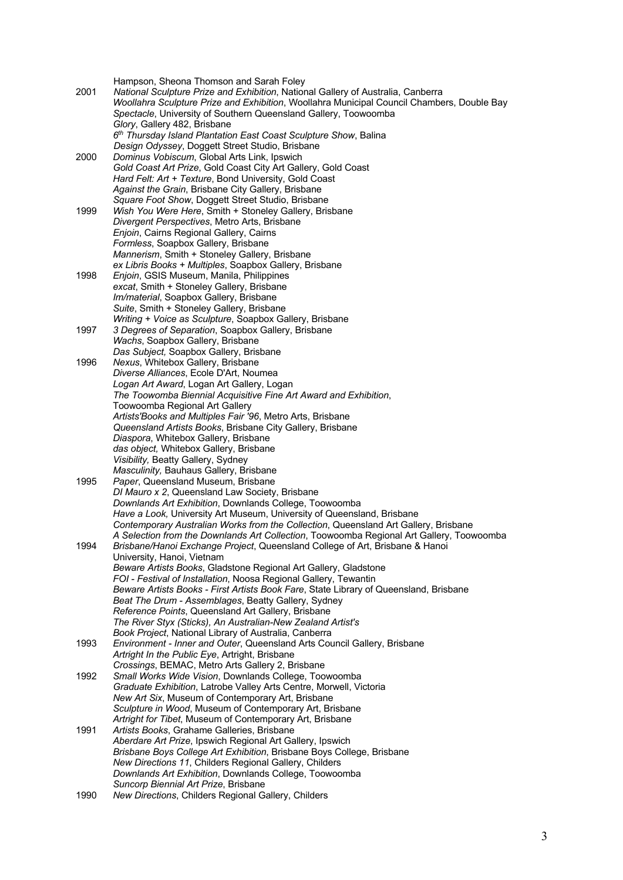Hampson, Sheona Thomson and Sarah Foley 2001 *National Sculpture Prize and Exhibition*, National Gallery of Australia, Canberra *Woollahra Sculpture Prize and Exhibition*, Woollahra Municipal Council Chambers, Double Bay *Spectacle*, University of Southern Queensland Gallery, Toowoomba *Glory*, Gallery 482, Brisbane *6th Thursday Island Plantation East Coast Sculpture Show*, Balina *Design Odyssey*, Doggett Street Studio, Brisbane 2000 *Dominus Vobiscum*, Global Arts Link, Ipswich *Gold Coast Art Prize*, Gold Coast City Art Gallery, Gold Coast *Hard Felt: Art + Texture*, Bond University, Gold Coast *Against the Grain*, Brisbane City Gallery, Brisbane *Square Foot Show*, Doggett Street Studio, Brisbane 1999 *Wish You Were Here*, Smith + Stoneley Gallery, Brisbane *Divergent Perspectives*, Metro Arts, Brisbane *Enjoin*, Cairns Regional Gallery, Cairns *Formless*, Soapbox Gallery, Brisbane *Mannerism*, Smith + Stoneley Gallery, Brisbane *ex Libris Books + Multiples*, Soapbox Gallery, Brisbane 1998 *Enjoin*, GSIS Museum, Manila, Philippines *excat*, Smith + Stoneley Gallery, Brisbane *Im/material*, Soapbox Gallery, Brisbane *Suite*, Smith + Stoneley Gallery, Brisbane *Writing + Voice as Sculpture*, Soapbox Gallery, Brisbane 1997 *3 Degrees of Separation*, Soapbox Gallery, Brisbane *Wachs*, Soapbox Gallery, Brisbane *Das Subject,* Soapbox Gallery, Brisbane 1996 *Nexus*, Whitebox Gallery, Brisbane *Diverse Alliances*, Ecole D'Art, Noumea *Logan Art Award*, Logan Art Gallery, Logan *The Toowomba Biennial Acquisitive Fine Art Award and Exhibition*, Toowoomba Regional Art Gallery *Artists'Books and Multiples Fair '96*, Metro Arts, Brisbane *Queensland Artists Books*, Brisbane City Gallery, Brisbane *Diaspora*, Whitebox Gallery, Brisbane *das object,* Whitebox Gallery, Brisbane *Visibility,* Beatty Gallery, Sydney *Masculinity,* Bauhaus Gallery, Brisbane 1995 *Paper*, Queensland Museum, Brisbane *DI Mauro x 2*, Queensland Law Society, Brisbane *Downlands Art Exhibition*, Downlands College, Toowoomba *Have a Look,* University Art Museum, University of Queensland, Brisbane *Contemporary Australian Works from the Collection*, Queensland Art Gallery, Brisbane *A Selection from the Downlands Art Collection*, Toowoomba Regional Art Gallery, Toowoomba 1994 *Brisbane/Hanoi Exchange Project*, Queensland College of Art, Brisbane & Hanoi University, Hanoi, Vietnam *Beware Artists Books*, Gladstone Regional Art Gallery, Gladstone *FOI - Festival of Installation*, Noosa Regional Gallery, Tewantin *Beware Artists Books - First Artists Book Fare*, State Library of Queensland, Brisbane *Beat The Drum - Assemblages*, Beatty Gallery, Sydney *Reference Points*, Queensland Art Gallery, Brisbane *The River Styx (Sticks), An Australian-New Zealand Artist's Book Project*, National Library of Australia, Canberra 1993 *Environment - Inner and Outer*, Queensland Arts Council Gallery, Brisbane *Artright In the Public Eye*, Artright, Brisbane *Crossings*, BEMAC, Metro Arts Gallery 2, Brisbane 1992 *Small Works Wide Vision*, Downlands College, Toowoomba *Graduate Exhibition*, Latrobe Valley Arts Centre, Morwell, Victoria *New Art Six*, Museum of Contemporary Art, Brisbane *Sculpture in Wood*, Museum of Contemporary Art, Brisbane *Artright for Tibet*, Museum of Contemporary Art, Brisbane 1991 *Artists Books*, Grahame Galleries, Brisbane *Aberdare Art Prize*, Ipswich Regional Art Gallery, Ipswich *Brisbane Boys College Art Exhibition*, Brisbane Boys College, Brisbane *New Directions 11*, Childers Regional Gallery, Childers *Downlands Art Exhibition*, Downlands College, Toowoomba *Suncorp Biennial Art Prize*, Brisbane 1990 *New Directions*, Childers Regional Gallery, Childers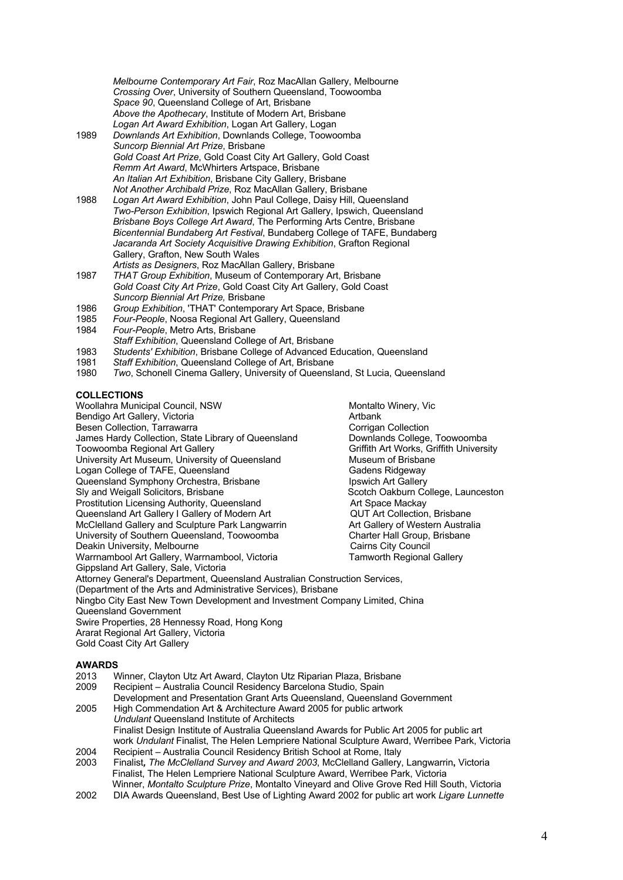*Melbourne Contemporary Art Fair*, Roz MacAllan Gallery, Melbourne *Crossing Over*, University of Southern Queensland, Toowoomba *Space 90*, Queensland College of Art, Brisbane *Above the Apothecary*, Institute of Modern Art, Brisbane *Logan Art Award Exhibition*, Logan Art Gallery, Logan

- 1989 *Downlands Art Exhibition*, Downlands College, Toowoomba *Suncorp Biennial Art Prize*, Brisbane *Gold Coast Art Prize*, Gold Coast City Art Gallery, Gold Coast *Remm Art Award*, McWhirters Artspace, Brisbane *An Italian Art Exhibition*, Brisbane City Gallery, Brisbane *Not Another Archibald Prize*, Roz MacAllan Gallery, Brisbane
- 1988 *Logan Art Award Exhibition*, John Paul College, Daisy Hill, Queensland *Two-Person Exhibition*, Ipswich Regional Art Gallery, Ipswich, Queensland *Brisbane Boys College Art Award*, The Performing Arts Centre, Brisbane *Bicentennial Bundaberg Art Festival*, Bundaberg College of TAFE, Bundaberg *Jacaranda Art Society Acquisitive Drawing Exhibition*, Grafton Regional Gallery, Grafton, New South Wales *Artists as Designers*, Roz MacAllan Gallery, Brisbane
- 1987 *THAT Group Exhibition*, Museum of Contemporary Art, Brisbane *Gold Coast City Art Prize*, Gold Coast City Art Gallery, Gold Coast *Suncorp Biennial Art Prize,* Brisbane
- 1986 *Group Exhibition*, 'THAT' Contemporary Art Space, Brisbane
- 1985 *Four-People*, Noosa Regional Art Gallery, Queensland
- 1984 *Four-People*, Metro Arts, Brisbane *Staff Exhibition*, Queensland College of Art, Brisbane
- 1983 *Students' Exhibition*, Brisbane College of Advanced Education, Queensland
- 1981 *Staff Exhibition*, Queensland College of Art, Brisbane
- **Two, Schonell Cinema Gallery, University of Queensland, St Lucia, Queensland**

# **COLLECTIONS**

Woollahra Municipal Council, NSW <br>Bendigo Art Gallery, Victoria (Bullering Municipal Arthank Municipal Arthank Municipal Arthank (Bullering Munic Bendigo Art Gallery, Victoria and Artbank and Artbank Artbank Besen Collection and Artbank Besen Collection Besen Collection, Tarrawarra (Europa corrigan Collection Collection, Tarrawarra (Europa corrigan Collection Collection Collection Collection Collection Collection Collection Collection Collection Collection Collection Coll James Hardy Collection, State Library of Queensland Toowoomba Regional Art Gallery Griffith Art Works, Griffith University University Art Museum, University of Queensland Museum of Brisbane<br>
Logan College of TAFE, Queensland Museum of Brisbane Logan College of TAFE, Queensland<br>
Queensland Symphony Orchestra. Brisbane Gueens and Symphony Orchestra. Brisbane Queensland Symphony Orchestra, Brisbane Sly and Weigall Solicitors, Brisbane Scotch Oakburn College, Launceston Prostitution Licensing Authority, Queensland **Art Space Mackay**<br>
Queensland Art Gallery I Gallery of Modern Art **Art Collection Act Collection** Brisbane Queensland Art Gallery I Gallery of Modern Art McClelland Gallery and Sculpture Park Langwarrin Art Gallery of Western Australia<br>
University of Southern Queensland, Toowoomba<br>
Charter Hall Group, Brisbane University of Southern Queensland, Toowoomba Charter Hall Group,<br>Deakin University, Melbourne Cairns City Council Deakin University, Melbourne Warrnambool Art Gallery, Warrnambool, Victoria Tamworth Regional Gallery Gippsland Art Gallery, Sale, Victoria Attorney General's Department, Queensland Australian Construction Services, (Department of the Arts and Administrative Services), Brisbane Ningbo City East New Town Development and Investment Company Limited, China Queensland Government Swire Properties, 28 Hennessy Road, Hong Kong Ararat Regional Art Gallery, Victoria Gold Coast City Art Gallery

# **AWARDS**<br>2013 V

- 2013 Winner, Clayton Utz Art Award, Clayton Utz Riparian Plaza, Brisbane<br>2009 Recipient Australia Council Residency Barcelona Studio. Spain Recipient – Australia Council Residency Barcelona Studio, Spain Development and Presentation Grant Arts Queensland, Queensland Government 2005 High Commendation Art & Architecture Award 2005 for public artwork *Undulant* Queensland Institute of Architects Finalist Design Institute of Australia Queensland Awards for Public Art 2005 for public art work *Undulant* Finalist, The Helen Lempriere National Sculpture Award, Werribee Park, Victoria 2004 Recipient – Australia Council Residency British School at Rome, Italy<br>2003 Finalist, *The McClelland Survey and Award 2003*. McClelland Gallery.
- 2003 Finalist*, The McClelland Survey and Award 2003*, McClelland Gallery, Langwarrin**,** Victoria Finalist, The Helen Lempriere National Sculpture Award, Werribee Park, Victoria Winner, *Montalto Sculpture Prize*, Montalto Vineyard and Olive Grove Red Hill South, Victoria
- 2002 DIA Awards Queensland, Best Use of Lighting Award 2002 for public art work *Ligare Lunnette*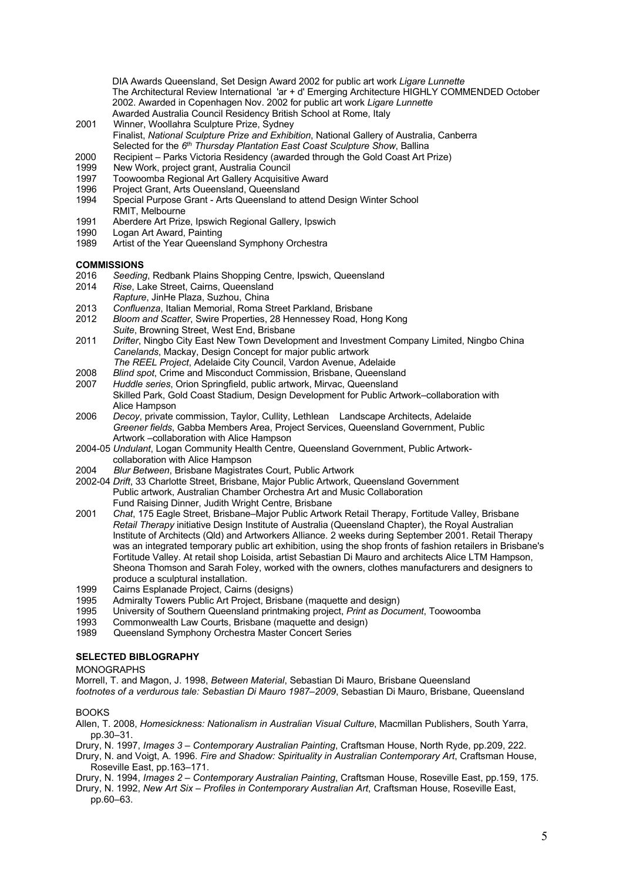DIA Awards Queensland, Set Design Award 2002 for public art work *Ligare Lunnette* The Architectural Review International 'ar + d' Emerging Architecture HIGHLY COMMENDED October 2002. Awarded in Copenhagen Nov. 2002 for public art work *Ligare Lunnette* Awarded Australia Council Residency British School at Rome, Italy

- 2001 Winner, Woollahra Sculpture Prize, Sydney Finalist, *National Sculpture Prize and Exhibition*, National Gallery of Australia, Canberra Selected for the *6th Thursday Plantation East Coast Sculpture Show*, Ballina
- 2000 Recipient Parks Victoria Residency (awarded through the Gold Coast Art Prize)
- 1999 New Work, project grant, Australia Council<br>1997 Toowoomba Regional Art Gallery Acquisitiv
- 1997 Toowoomba Regional Art Gallery Acquisitive Award
- 1996 Project Grant, Arts Oueensland, Queensland<br>1994 Special Purpose Grant Arts Queensland to a
- Special Purpose Grant Arts Queensland to attend Design Winter School RMIT, Melbourne
- 1991 Aberdere Art Prize, Ipswich Regional Gallery, Ipswich
- 1990 Logan Art Award, Painting
- 1989 Artist of the Year Queensland Symphony Orchestra

## **COMMISSIONS**

- 2016 *Seeding*, Redbank Plains Shopping Centre, Ipswich, Queensland
- 2014 *Rise*, Lake Street, Cairns, Queensland
- *Rapture*, JinHe Plaza, Suzhou, China
- 2013 *Confluenza*, Italian Memorial, Roma Street Parkland, Brisbane
- 2012 *Bloom and Scatter*, Swire Properties, 28 Hennessey Road, Hong Kong *Suite*, Browning Street, West End, Brisbane
- 2011 *Drifter*, Ningbo City East New Town Development and Investment Company Limited, Ningbo China *Canelands*, Mackay, Design Concept for major public artwork *The REEL Project*, Adelaide City Council, Vardon Avenue, Adelaide
- 2008 *Blind spot*, Crime and Misconduct Commission, Brisbane, Queensland
- 2007 *Huddle series*, Orion Springfield, public artwork, Mirvac, Queensland Skilled Park, Gold Coast Stadium, Design Development for Public Artwork–collaboration with Alice Hampson
- 2006 *Decoy*, private commission, Taylor, Cullity, Lethlean Landscape Architects, Adelaide *Greener fields*, Gabba Members Area, Project Services, Queensland Government, Public Artwork –collaboration with Alice Hampson
- 2004-05 *Undulant*, Logan Community Health Centre, Queensland Government, Public Artworkcollaboration with Alice Hampson
- 2004 *Blur Between*, Brisbane Magistrates Court, Public Artwork
- 2002-04 *Drift*, 33 Charlotte Street, Brisbane, Major Public Artwork, Queensland Government Public artwork, Australian Chamber Orchestra Art and Music Collaboration Fund Raising Dinner, Judith Wright Centre, Brisbane
- 2001 *Chat*, 175 Eagle Street, Brisbane–Major Public Artwork Retail Therapy, Fortitude Valley, Brisbane *Retail Therapy* initiative Design Institute of Australia (Queensland Chapter), the Royal Australian Institute of Architects (Qld) and Artworkers Alliance. 2 weeks during September 2001. Retail Therapy was an integrated temporary public art exhibition, using the shop fronts of fashion retailers in Brisbane's Fortitude Valley. At retail shop Loisida, artist Sebastian Di Mauro and architects Alice LTM Hampson, Sheona Thomson and Sarah Foley, worked with the owners, clothes manufacturers and designers to produce a sculptural installation.
- 1999 Cairns Esplanade Project, Cairns (designs)<br>1995 Admiralty Towers Public Art Project, Brisba
- 1995 Admiralty Towers Public Art Project, Brisbane (maquette and design)<br>1995 University of Southern Queensland printmaking project. Print as Docu
- 1995 University of Southern Queensland printmaking project, *Print as Document*, Toowoomba
- Commonwealth Law Courts, Brisbane (maquette and design)
- 1989 Queensland Symphony Orchestra Master Concert Series

# **SELECTED BIBLOGRAPHY**

### MONOGRAPHS

Morrell, T. and Magon, J. 1998, *Between Material*, Sebastian Di Mauro, Brisbane Queensland *footnotes of a verdurous tale: Sebastian Di Mauro 1987–2009*, Sebastian Di Mauro, Brisbane, Queensland

# BOOKS

Allen, T. 2008, *Homesickness: Nationalism in Australian Visual Culture*, Macmillan Publishers, South Yarra, pp.30–31.

Drury, N. 1997, *Images 3 – Contemporary Australian Painting*, Craftsman House, North Ryde, pp.209, 222.

Drury, N. and Voigt, A. 1996. *Fire and Shadow: Spirituality in Australian Contemporary Art*, Craftsman House, Roseville East, pp.163–171.

Drury, N. 1994, *Images 2 – Contemporary Australian Painting*, Craftsman House, Roseville East, pp.159, 175.

Drury, N. 1992, *New Art Six – Profiles in Contemporary Australian Art*, Craftsman House, Roseville East, pp.60–63.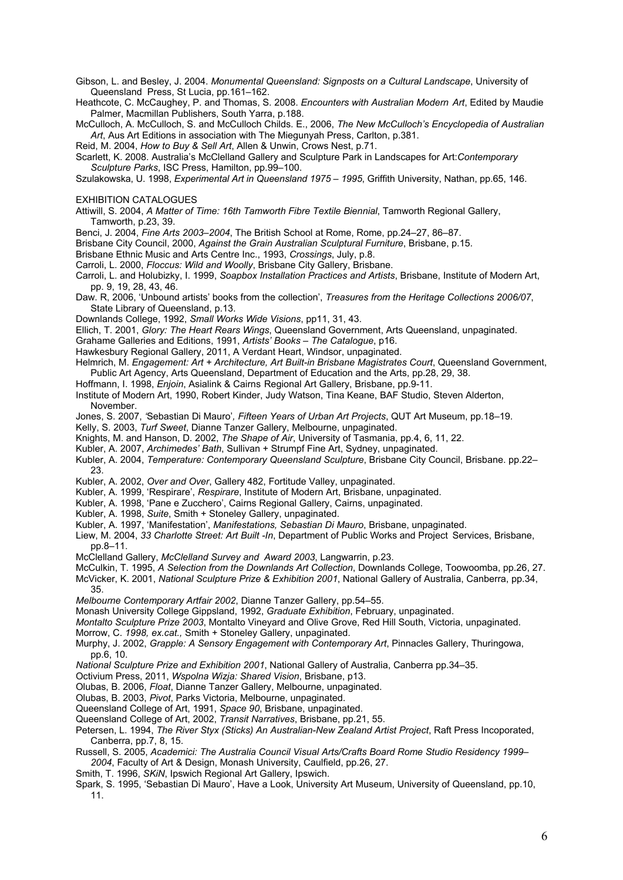Gibson, L. and Besley, J. 2004. *Monumental Queensland: Signposts on a Cultural Landscape*, University of Queensland Press, St Lucia, pp.161–162.

Heathcote, C. McCaughey, P. and Thomas, S. 2008. *Encounters with Australian Modern Art*, Edited by Maudie Palmer, Macmillan Publishers, South Yarra, p.188.

McCulloch, A. McCulloch, S. and McCulloch Childs. E., 2006, *The New McCulloch's Encyclopedia of Australian Art*, Aus Art Editions in association with The Miegunyah Press, Carlton, p.381.

Reid, M. 2004, *How to Buy & Sell Art*, Allen & Unwin, Crows Nest, p.71.

Scarlett, K. 2008. Australia's McClelland Gallery and Sculpture Park in Landscapes for Art:*Contemporary Sculpture Parks*, ISC Press, Hamilton, pp.99–100.

Szulakowska, U. 1998, *Experimental Art in Queensland 1975 – 1995*, Griffith University, Nathan, pp.65, 146.

EXHIBITION CATALOGUES

Attiwill, S. 2004, *A Matter of Time: 16th Tamworth Fibre Textile Biennial*, Tamworth Regional Gallery, Tamworth, p.23, 39.

Benci, J. 2004, *Fine Arts 2003–2004*, The British School at Rome, Rome, pp.24–27, 86–87.

Brisbane City Council, 2000, *Against the Grain Australian Sculptural Furniture*, Brisbane, p.15.

Brisbane Ethnic Music and Arts Centre Inc., 1993, *Crossings*, July, p.8.

Carroli, L. 2000, *Floccus: Wild and Woolly*, Brisbane City Gallery, Brisbane.

- Carroli, L. and Holubizky, I. 1999, *Soapbox Installation Practices and Artists*, Brisbane, Institute of Modern Art, pp. 9, 19, 28, 43, 46.
- Daw. R, 2006, 'Unbound artists' books from the collection', *Treasures from the Heritage Collections 2006/07*, State Library of Queensland, p.13.
- Downlands College, 1992, *Small Works Wide Visions*, pp11, 31, 43.
- Ellich, T. 2001, *Glory: The Heart Rears Wings*, Queensland Government, Arts Queensland, unpaginated.
- Grahame Galleries and Editions, 1991, *Artists' Books – The Catalogue*, p16.
- Hawkesbury Regional Gallery, 2011, A Verdant Heart, Windsor, unpaginated.
- Helmrich, M. *Engagement: Art + Architecture, Art Built-in Brisbane Magistrates Court*, Queensland Government, Public Art Agency, Arts Queensland, Department of Education and the Arts, pp.28, 29, 38.
- Hoffmann, I. 1998, *Enjoin*, Asialink & Cairns Regional Art Gallery, Brisbane, pp.9-11.

Institute of Modern Art, 1990, Robert Kinder, Judy Watson, Tina Keane, BAF Studio, Steven Alderton, November.

- Jones, S. 2007, *'*Sebastian Di Mauro'*, Fifteen Years of Urban Art Projects*, QUT Art Museum, pp.18–19.
- Kelly, S. 2003, *Turf Sweet*, Dianne Tanzer Gallery, Melbourne, unpaginated.

Knights, M. and Hanson, D. 2002, *The Shape of Air*, University of Tasmania, pp.4, 6, 11, 22.

- Kubler, A. 2007, *Archimedes' Bath*, Sullivan + Strumpf Fine Art, Sydney, unpaginated.
- Kubler, A. 2004, *Temperature: Contemporary Queensland Sculpture*, Brisbane City Council, Brisbane. pp.22– 23.
- Kubler, A. 2002, *Over and Over*, Gallery 482, Fortitude Valley, unpaginated.
- Kubler, A. 1999, 'Respirare', *Respirare*, Institute of Modern Art, Brisbane, unpaginated.
- Kubler, A. 1998, 'Pane e Zucchero', Cairns Regional Gallery, Cairns, unpaginated.
- Kubler, A. 1998, *Suite*, Smith + Stoneley Gallery, unpaginated.
- Kubler, A. 1997, 'Manifestation', *Manifestations, Sebastian Di Mauro*, Brisbane, unpaginated.

Liew, M. 2004, *33 Charlotte Street: Art Built -In*, Department of Public Works and Project Services, Brisbane, pp.8–11.

McClelland Gallery, *McClelland Survey and Award 2003*, Langwarrin, p.23.

McCulkin, T. 1995, *A Selection from the Downlands Art Collection*, Downlands College, Toowoomba, pp.26, 27.

- McVicker, K. 2001, *National Sculpture Prize & Exhibition 2001*, National Gallery of Australia, Canberra, pp.34, 35.
- *Melbourne Contemporary Artfair 2002*, Dianne Tanzer Gallery, pp.54–55.

Monash University College Gippsland, 1992, *Graduate Exhibition*, February, unpaginated.

*Montalto Sculpture Prize 2003*, Montalto Vineyard and Olive Grove, Red Hill South, Victoria, unpaginated.

- Morrow, C. *1998, ex.cat.,* Smith + Stoneley Gallery, unpaginated.
- Murphy, J. 2002, *Grapple: A Sensory Engagement with Contemporary Art*, Pinnacles Gallery, Thuringowa, pp.6, 10.
- *National Sculpture Prize and Exhibition 2001*, National Gallery of Australia, Canberra pp.34–35.
- Octivium Press, 2011, *Wspolna Wizja: Shared Vision*, Brisbane, p13.
- Olubas, B. 2006, *Float*, Dianne Tanzer Gallery, Melbourne, unpaginated.
- Olubas, B. 2003, *Pivot*, Parks Victoria, Melbourne, unpaginated.
- Queensland College of Art, 1991, *Space 90*, Brisbane, unpaginated.
- Queensland College of Art, 2002, *Transit Narratives*, Brisbane, pp.21, 55.
- Petersen, L. 1994, *The River Styx (Sticks) An Australian-New Zealand Artist Project*, Raft Press Incoporated, Canberra, pp.7, 8, 15.
- Russell, S. 2005, *Academici: The Australia Council Visual Arts/Crafts Board Rome Studio Residency 1999– 2004*, Faculty of Art & Design, Monash University, Caulfield, pp.26, 27.
- Smith, T. 1996, *SKiN*, Ipswich Regional Art Gallery, Ipswich.
- Spark, S. 1995, 'Sebastian Di Mauro', Have a Look, University Art Museum, University of Queensland, pp.10, 11.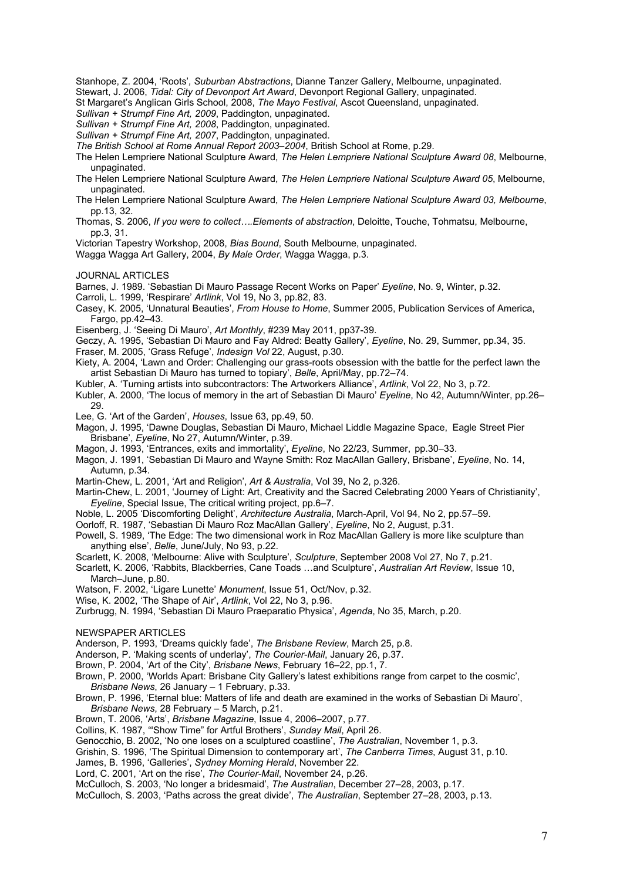Stanhope, Z. 2004, 'Roots'*, Suburban Abstractions*, Dianne Tanzer Gallery, Melbourne, unpaginated.

Stewart, J. 2006, *Tidal: City of Devonport Art Award*, Devonport Regional Gallery, unpaginated.

St Margaret's Anglican Girls School, 2008, *The Mayo Festival*, Ascot Queensland, unpaginated.

*Sullivan + Strumpf Fine Art, 2009*, Paddington, unpaginated.

*Sullivan + Strumpf Fine Art, 2008*, Paddington, unpaginated. *Sullivan + Strumpf Fine Art, 2007*, Paddington, unpaginated.

*The British School at Rome Annual Report 2003–2004*, British School at Rome, p.29.

The Helen Lempriere National Sculpture Award, *The Helen Lempriere National Sculpture Award 08*, Melbourne,

- unpaginated. The Helen Lempriere National Sculpture Award, *The Helen Lempriere National Sculpture Award 05*, Melbourne, unpaginated.
- The Helen Lempriere National Sculpture Award, *The Helen Lempriere National Sculpture Award 03, Melbourne*, pp.13, 32.
- Thomas, S. 2006, *If you were to collect….Elements of abstraction*, Deloitte, Touche, Tohmatsu, Melbourne, pp.3, 31.
- Victorian Tapestry Workshop, 2008, *Bias Bound*, South Melbourne, unpaginated.
- Wagga Wagga Art Gallery, 2004, *By Male Order*, Wagga Wagga, p.3.
- JOURNAL ARTICLES
- Barnes, J. 1989. 'Sebastian Di Mauro Passage Recent Works on Paper' *Eyeline*, No. 9, Winter, p.32.
- Carroli, L. 1999, 'Respirare' *Artlink*, Vol 19, No 3, pp.82, 83.
- Casey, K. 2005, 'Unnatural Beauties', *From House to Home*, Summer 2005, Publication Services of America, Fargo, pp.42–43.
- Eisenberg, J. 'Seeing Di Mauro', *Art Monthly*, #239 May 2011, pp37-39.

Geczy, A. 1995, 'Sebastian Di Mauro and Fay Aldred: Beatty Gallery', *Eyeline*, No. 29, Summer, pp.34, 35.

- Fraser, M. 2005, 'Grass Refuge', *Indesign Vol* 22, August, p.30.
- Kiety, A. 2004, 'Lawn and Order: Challenging our grass-roots obsession with the battle for the perfect lawn the artist Sebastian Di Mauro has turned to topiary', *Belle*, April/May, pp.72–74.
- Kubler, A. 'Turning artists into subcontractors: The Artworkers Alliance', *Artlink*, Vol 22, No 3, p.72.

Kubler, A. 2000, 'The locus of memory in the art of Sebastian Di Mauro' *Eyeline*, No 42, Autumn/Winter, pp.26– 29.

- Lee, G. 'Art of the Garden', *Houses*, Issue 63, pp.49, 50.
- Magon, J. 1995, 'Dawne Douglas, Sebastian Di Mauro, Michael Liddle Magazine Space, Eagle Street Pier Brisbane', *Eyeline*, No 27, Autumn/Winter, p.39.
- Magon, J. 1993, 'Entrances, exits and immortality', *Eyeline*, No 22/23, Summer, pp.30–33.
- Magon, J. 1991, 'Sebastian Di Mauro and Wayne Smith: Roz MacAllan Gallery, Brisbane', *Eyeline*, No. 14, Autumn, p.34.
- Martin-Chew, L. 2001, 'Art and Religion', *Art & Australia*, Vol 39, No 2, p.326.
- Martin-Chew, L. 2001, 'Journey of Light: Art, Creativity and the Sacred Celebrating 2000 Years of Christianity', *Eyeline*, Special Issue, The critical writing project, pp.6–7.
- Noble, L. 2005 'Discomforting Delight', *Architecture Australia*, March-April, Vol 94, No 2, pp.57–59.
- Oorloff, R. 1987, 'Sebastian Di Mauro Roz MacAllan Gallery', *Eyeline*, No 2, August, p.31.
- Powell, S. 1989, 'The Edge: The two dimensional work in Roz MacAllan Gallery is more like sculpture than anything else', *Belle*, June/July, No 93, p.22.
- Scarlett, K. 2008, 'Melbourne: Alive with Sculpture', *Sculpture*, September 2008 Vol 27, No 7, p.21.
- Scarlett, K. 2006, 'Rabbits, Blackberries, Cane Toads …and Sculpture', *Australian Art Review*, Issue 10, March–June, p.80.
- Watson, F. 2002, 'Ligare Lunette' *Monument*, Issue 51, Oct/Nov, p.32.
- Wise, K. 2002, 'The Shape of Air', *Artlink*, Vol 22, No 3, p.96.

Zurbrugg, N. 1994, 'Sebastian Di Mauro Praeparatio Physica', *Agenda*, No 35, March, p.20.

NEWSPAPER ARTICLES

Anderson, P. 1993, 'Dreams quickly fade', *The Brisbane Review*, March 25, p.8.

Anderson, P. 'Making scents of underlay', *The Courier-Mail*, January 26, p.37.

Brown, P. 2004, 'Art of the City', *Brisbane News*, February 16–22, pp.1, 7.

Brown, P. 2000, 'Worlds Apart: Brisbane City Gallery's latest exhibitions range from carpet to the cosmic', *Brisbane News*, 26 January – 1 February, p.33.

Brown, P. 1996, 'Eternal blue: Matters of life and death are examined in the works of Sebastian Di Mauro', *Brisbane News*, 28 February – 5 March, p.21.

Brown, T. 2006, 'Arts', *Brisbane Magazine*, Issue 4, 2006–2007, p.77.

Collins, K. 1987, '"Show Time" for Artful Brothers', *Sunday Mail*, April 26.

Genocchio, B. 2002, 'No one loses on a sculptured coastline', *The Australian*, November 1, p.3.

Grishin, S. 1996, 'The Spiritual Dimension to contemporary art', *The Canberra Times*, August 31, p.10.

James, B. 1996, 'Galleries', *Sydney Morning Herald*, November 22.

Lord, C. 2001, 'Art on the rise', *The Courier-Mail*, November 24, p.26.

McCulloch, S. 2003, 'No longer a bridesmaid', *The Australian*, December 27–28, 2003, p.17.

McCulloch, S. 2003, 'Paths across the great divide', *The Australian*, September 27–28, 2003, p.13.